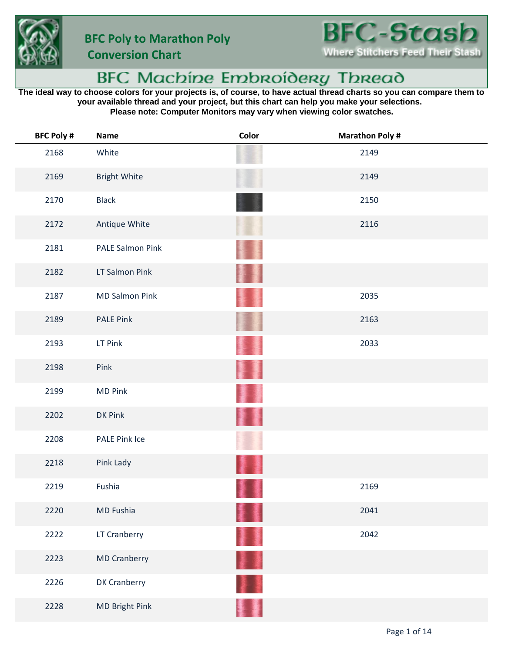

 **Conversion Chart**

## BFC Machine Embroidery Thread

**The ideal way to choose colors for your projects is, of course, to have actual thread charts so you can compare them to your available thread and your project, but this chart can help you make your selections. Please note: Computer Monitors may vary when viewing color swatches.**

| <b>BFC Poly #</b> | <b>Name</b>             | Color | <b>Marathon Poly#</b> |
|-------------------|-------------------------|-------|-----------------------|
| 2168              | White                   |       | 2149                  |
| 2169              | <b>Bright White</b>     |       | 2149                  |
| 2170              | <b>Black</b>            |       | 2150                  |
| 2172              | Antique White           |       | 2116                  |
| 2181              | <b>PALE Salmon Pink</b> |       |                       |
| 2182              | LT Salmon Pink          |       |                       |
| 2187              | <b>MD Salmon Pink</b>   |       | 2035                  |
| 2189              | <b>PALE Pink</b>        |       | 2163                  |
| 2193              | LT Pink                 |       | 2033                  |
| 2198              | Pink                    |       |                       |
| 2199              | <b>MD Pink</b>          |       |                       |
| 2202              | DK Pink                 |       |                       |
| 2208              | PALE Pink Ice           |       |                       |
| 2218              | Pink Lady               |       |                       |
| 2219              | Fushia                  |       | 2169                  |
| 2220              | MD Fushia               |       | 2041                  |
| 2222              | LT Cranberry            | 屢     | 2042                  |
| 2223              | <b>MD Cranberry</b>     | H 1   |                       |
| 2226              | DK Cranberry            |       |                       |
| 2228              | MD Bright Pink          |       |                       |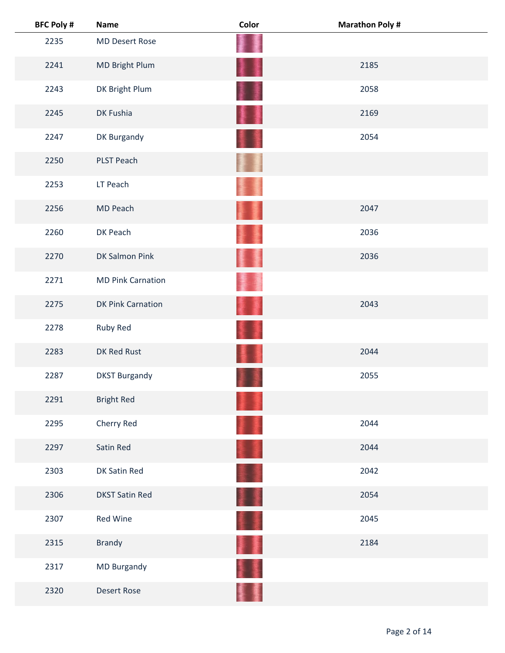| <b>BFC Poly #</b> | <b>Name</b>              | Color | <b>Marathon Poly #</b> |
|-------------------|--------------------------|-------|------------------------|
| 2235              | <b>MD Desert Rose</b>    |       |                        |
| 2241              | MD Bright Plum           | 蓬     | 2185                   |
| 2243              | DK Bright Plum           |       | 2058                   |
| 2245              | DK Fushia                |       | 2169                   |
| 2247              | DK Burgandy              |       | 2054                   |
| 2250              | PLST Peach               |       |                        |
| 2253              | LT Peach                 |       |                        |
| 2256              | MD Peach                 |       | 2047                   |
| 2260              | DK Peach                 |       | 2036                   |
| 2270              | DK Salmon Pink           |       | 2036                   |
| 2271              | <b>MD Pink Carnation</b> |       |                        |
| 2275              | <b>DK Pink Carnation</b> |       | 2043                   |
| 2278              | Ruby Red                 |       |                        |
| 2283              | DK Red Rust              |       | 2044                   |
| 2287              | <b>DKST Burgandy</b>     |       | 2055                   |
| 2291              | <b>Bright Red</b>        |       |                        |
| 2295              | Cherry Red               |       | 2044                   |
| 2297              | Satin Red                |       | 2044                   |
| 2303              | DK Satin Red             |       | 2042                   |
| 2306              | <b>DKST Satin Red</b>    |       | 2054                   |
| 2307              | Red Wine                 |       | 2045                   |
| 2315              | Brandy                   |       | 2184                   |
| 2317              | MD Burgandy              |       |                        |
| 2320              | <b>Desert Rose</b>       |       |                        |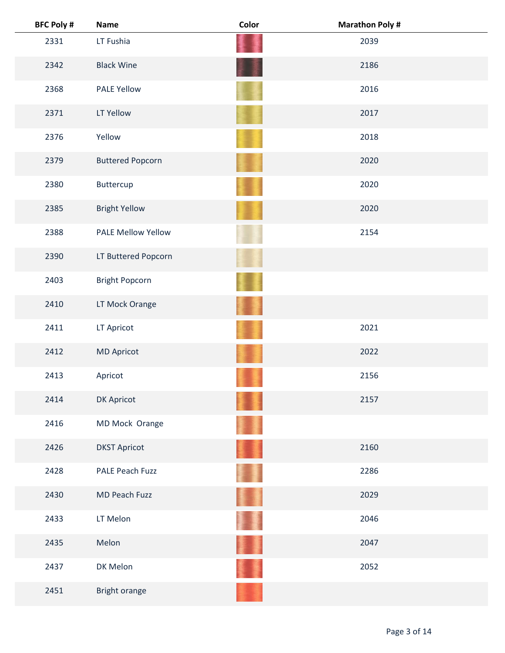| <b>BFC Poly #</b> | <b>Name</b>               | Color | <b>Marathon Poly #</b> |  |
|-------------------|---------------------------|-------|------------------------|--|
| 2331              | LT Fushia                 |       | 2039                   |  |
| 2342              | <b>Black Wine</b>         |       | 2186                   |  |
| 2368              | <b>PALE Yellow</b>        |       | 2016                   |  |
| 2371              | LT Yellow                 |       | 2017                   |  |
| 2376              | Yellow                    |       | 2018                   |  |
| 2379              | <b>Buttered Popcorn</b>   |       | 2020                   |  |
| 2380              | Buttercup                 |       | 2020                   |  |
| 2385              | <b>Bright Yellow</b>      |       | 2020                   |  |
| 2388              | <b>PALE Mellow Yellow</b> |       | 2154                   |  |
| 2390              | LT Buttered Popcorn       |       |                        |  |
| 2403              | <b>Bright Popcorn</b>     |       |                        |  |
| 2410              | LT Mock Orange            |       |                        |  |
| 2411              | LT Apricot                |       | 2021                   |  |
| 2412              | <b>MD Apricot</b>         |       | 2022                   |  |
| 2413              | Apricot                   |       | 2156                   |  |
| 2414              | DK Apricot                |       | 2157                   |  |
| 2416              | MD Mock Orange            |       |                        |  |
| 2426              | <b>DKST Apricot</b>       |       | 2160                   |  |
| 2428              | PALE Peach Fuzz           |       | 2286                   |  |
| 2430              | MD Peach Fuzz             |       | 2029                   |  |
| 2433              | LT Melon                  |       | 2046                   |  |
| 2435              | Melon                     |       | 2047                   |  |
| 2437              | DK Melon                  |       | 2052                   |  |
| 2451              | Bright orange             |       |                        |  |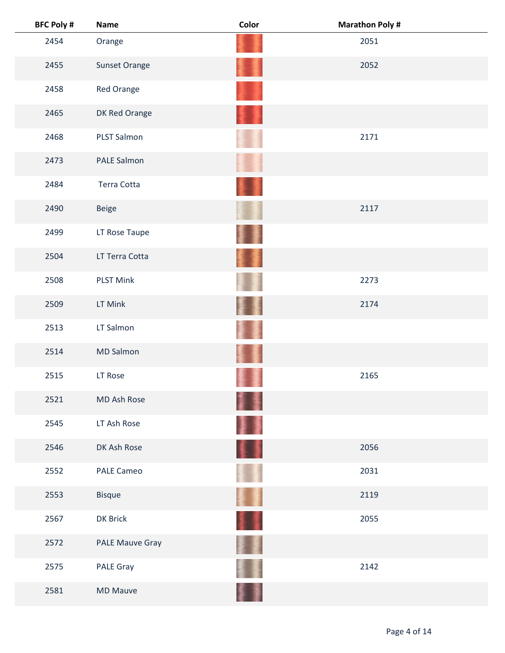| <b>BFC Poly #</b> | <b>Name</b>            | Color | <b>Marathon Poly #</b> |
|-------------------|------------------------|-------|------------------------|
| 2454              | Orange                 |       | 2051                   |
| 2455              | Sunset Orange          |       | 2052                   |
| 2458              | Red Orange             |       |                        |
| 2465              | DK Red Orange          |       |                        |
| 2468              | <b>PLST Salmon</b>     |       | 2171                   |
| 2473              | <b>PALE Salmon</b>     |       |                        |
| 2484              | <b>Terra Cotta</b>     |       |                        |
| 2490              | <b>Beige</b>           |       | 2117                   |
| 2499              | LT Rose Taupe          |       |                        |
| 2504              | LT Terra Cotta         | I     |                        |
| 2508              | <b>PLST Mink</b>       |       | 2273                   |
| 2509              | LT Mink                |       | 2174                   |
| 2513              | LT Salmon              |       |                        |
| 2514              | <b>MD Salmon</b>       |       |                        |
| 2515              | LT Rose                |       | 2165                   |
| 2521              | MD Ash Rose            | II.   |                        |
| 2545              | LT Ash Rose            | ł     |                        |
| 2546              | DK Ash Rose            | 美重    | 2056                   |
| 2552              | <b>PALE Cameo</b>      |       | 2031                   |
| 2553              | <b>Bisque</b>          | Ħ     | 2119                   |
| 2567              | DK Brick               | 11    | 2055                   |
| 2572              | <b>PALE Mauve Gray</b> |       |                        |
| 2575              | PALE Gray              |       | 2142                   |
| 2581              | <b>MD Mauve</b>        |       |                        |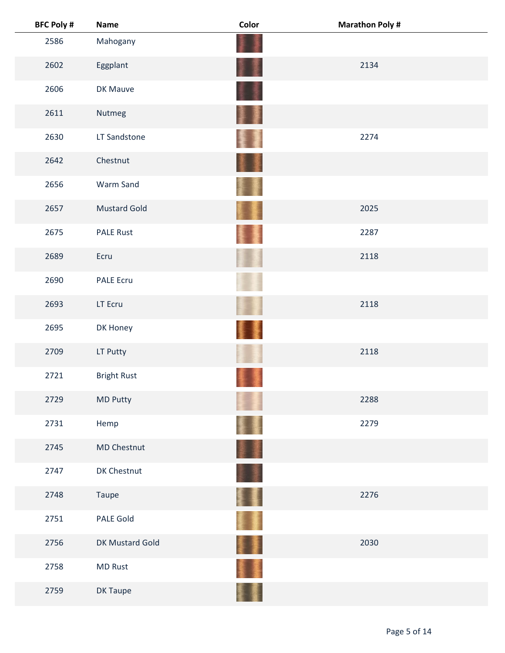| <b>BFC Poly #</b> | <b>Name</b>         | Color   | <b>Marathon Poly#</b> |  |
|-------------------|---------------------|---------|-----------------------|--|
| 2586              | Mahogany            |         |                       |  |
| 2602              | Eggplant            | Ŧ       | 2134                  |  |
| 2606              | DK Mauve            |         |                       |  |
| 2611              | Nutmeg              | ł       |                       |  |
| 2630              | LT Sandstone        |         | 2274                  |  |
| 2642              | Chestnut            |         |                       |  |
| 2656              | Warm Sand           |         |                       |  |
| 2657              | <b>Mustard Gold</b> |         | 2025                  |  |
| 2675              | <b>PALE Rust</b>    |         | 2287                  |  |
| 2689              | Ecru                |         | 2118                  |  |
| 2690              | <b>PALE Ecru</b>    |         |                       |  |
| 2693              | LT Ecru             |         | 2118                  |  |
| 2695              | DK Honey            |         |                       |  |
| 2709              | LT Putty            |         | 2118                  |  |
| 2721              | <b>Bright Rust</b>  |         |                       |  |
| 2729              | MD Putty            |         | 2288                  |  |
| 2731              | Hemp                |         | 2279                  |  |
| 2745              | <b>MD Chestnut</b>  | 葦澤      |                       |  |
| 2747              | DK Chestnut         |         |                       |  |
| 2748              | Taupe               | Ħ       | 2276                  |  |
| 2751              | PALE Gold           | ŧ       |                       |  |
| 2756              | DK Mustard Gold     | T<br>薄度 | 2030                  |  |
| 2758              | <b>MD Rust</b>      |         |                       |  |
| 2759              | DK Taupe            |         |                       |  |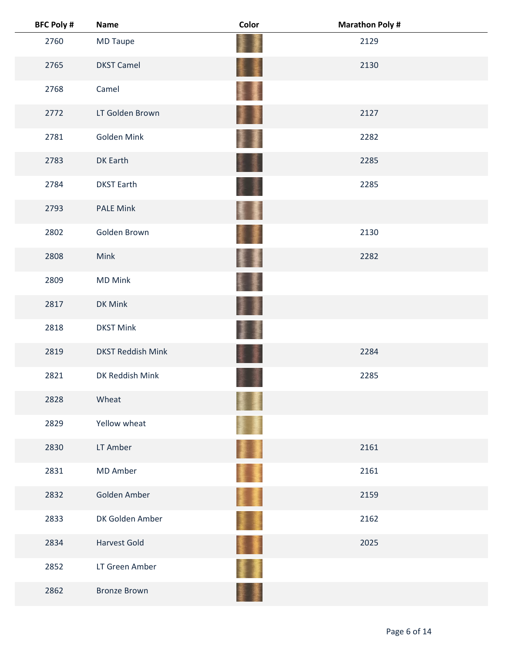| <b>BFC Poly #</b> | <b>Name</b>              | Color    | <b>Marathon Poly #</b> |
|-------------------|--------------------------|----------|------------------------|
| 2760              | MD Taupe                 |          | 2129                   |
| 2765              | <b>DKST Camel</b>        | II.      | 2130                   |
| 2768              | Camel                    | 柔        |                        |
| 2772              | LT Golden Brown          | H        | 2127                   |
| 2781              | Golden Mink              |          | 2282                   |
| 2783              | DK Earth                 |          | 2285                   |
| 2784              | <b>DKST Earth</b>        |          | 2285                   |
| 2793              | <b>PALE Mink</b>         | ł        |                        |
| 2802              | Golden Brown             |          | 2130                   |
| 2808              | Mink                     | 墨        | 2282                   |
| 2809              | <b>MD Mink</b>           |          |                        |
| 2817              | DK Mink                  |          |                        |
| 2818              | <b>DKST Mink</b>         |          |                        |
| 2819              | <b>DKST Reddish Mink</b> |          | 2284                   |
| 2821              | DK Reddish Mink          |          | 2285                   |
| 2828              | Wheat                    |          |                        |
| 2829              | Yellow wheat             |          |                        |
| 2830              | LT Amber                 | <b>A</b> | 2161                   |
| 2831              | MD Amber                 | ò        | 2161                   |
| 2832              | Golden Amber             | II.      | 2159                   |
| 2833              | DK Golden Amber          | 重畫       | 2162                   |
| 2834              | <b>Harvest Gold</b>      | 重量       | 2025                   |
| 2852              | LT Green Amber           |          |                        |
| 2862              | <b>Bronze Brown</b>      |          |                        |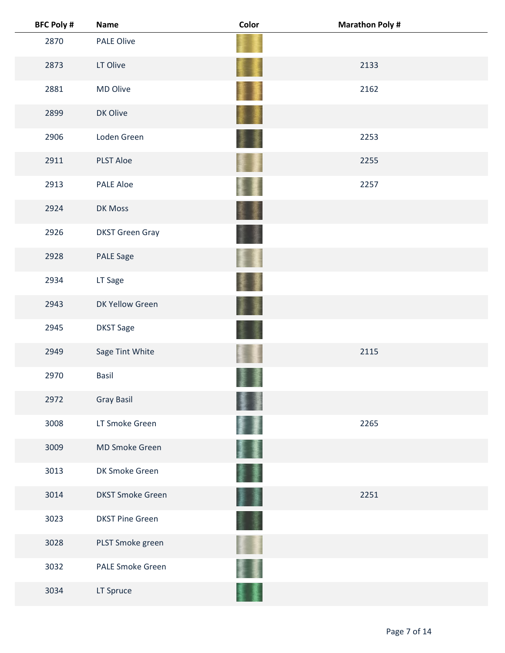| <b>BFC Poly #</b> | <b>Name</b>             | Color | <b>Marathon Poly #</b> |  |
|-------------------|-------------------------|-------|------------------------|--|
| 2870              | <b>PALE Olive</b>       |       |                        |  |
| 2873              | LT Olive                |       | 2133                   |  |
| 2881              | MD Olive                |       | 2162                   |  |
| 2899              | DK Olive                |       |                        |  |
| 2906              | Loden Green             |       | 2253                   |  |
| 2911              | <b>PLST Aloe</b>        |       | 2255                   |  |
| 2913              | <b>PALE Aloe</b>        |       | 2257                   |  |
| 2924              | DK Moss                 |       |                        |  |
| 2926              | <b>DKST Green Gray</b>  |       |                        |  |
| 2928              | PALE Sage               |       |                        |  |
| 2934              | LT Sage                 |       |                        |  |
| 2943              | DK Yellow Green         |       |                        |  |
| 2945              | <b>DKST Sage</b>        |       |                        |  |
| 2949              | Sage Tint White         |       | 2115                   |  |
| 2970              | <b>Basil</b>            |       |                        |  |
| 2972              | <b>Gray Basil</b>       |       |                        |  |
| 3008              | LT Smoke Green          |       | 2265                   |  |
| 3009              | MD Smoke Green          |       |                        |  |
| 3013              | DK Smoke Green          |       |                        |  |
| 3014              | <b>DKST Smoke Green</b> |       | 2251                   |  |
| 3023              | <b>DKST Pine Green</b>  |       |                        |  |
| 3028              | PLST Smoke green        |       |                        |  |
| 3032              | <b>PALE Smoke Green</b> |       |                        |  |
| 3034              | LT Spruce               |       |                        |  |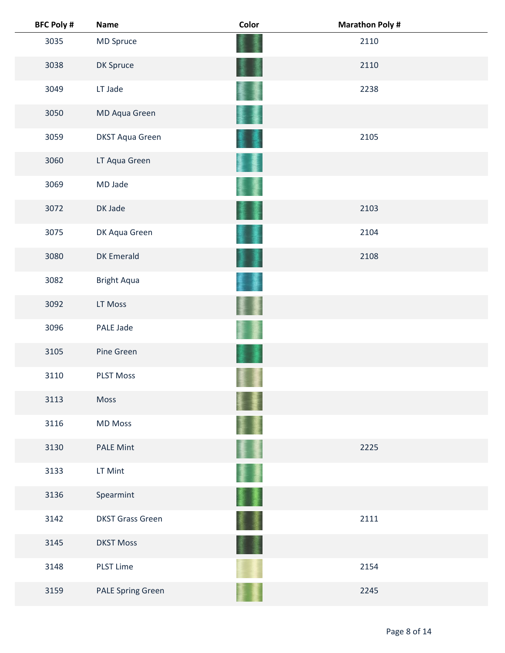| <b>BFC Poly #</b> | <b>Name</b>              | Color | <b>Marathon Poly #</b> |
|-------------------|--------------------------|-------|------------------------|
| 3035              | MD Spruce                |       | 2110                   |
| 3038              | DK Spruce                |       | 2110                   |
| 3049              | LT Jade                  |       | 2238                   |
| 3050              | MD Aqua Green            |       |                        |
| 3059              | <b>DKST Aqua Green</b>   |       | 2105                   |
| 3060              | LT Aqua Green            |       |                        |
| 3069              | MD Jade                  |       |                        |
| 3072              | DK Jade                  |       | 2103                   |
| 3075              | DK Aqua Green            |       | 2104                   |
| 3080              | <b>DK Emerald</b>        |       | 2108                   |
| 3082              | <b>Bright Aqua</b>       |       |                        |
| 3092              | LT Moss                  |       |                        |
| 3096              | PALE Jade                |       |                        |
| 3105              | Pine Green               |       |                        |
| 3110              | <b>PLST Moss</b>         |       |                        |
| 3113              | Moss                     |       |                        |
| 3116              | <b>MD Moss</b>           |       |                        |
| 3130              | <b>PALE Mint</b>         |       | 2225                   |
| 3133              | LT Mint                  |       |                        |
| 3136              | Spearmint                |       |                        |
| 3142              | <b>DKST Grass Green</b>  |       | 2111                   |
| 3145              | <b>DKST Moss</b>         |       |                        |
| 3148              | <b>PLST Lime</b>         |       | 2154                   |
| 3159              | <b>PALE Spring Green</b> |       | 2245                   |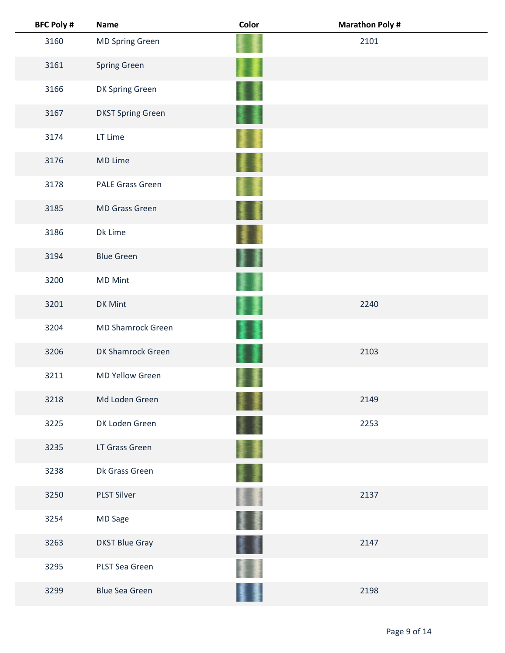| <b>BFC Poly #</b> | <b>Name</b>              | Color   | <b>Marathon Poly #</b> |  |
|-------------------|--------------------------|---------|------------------------|--|
| 3160              | <b>MD Spring Green</b>   |         | 2101                   |  |
| 3161              | <b>Spring Green</b>      |         |                        |  |
| 3166              | DK Spring Green          |         |                        |  |
| 3167              | <b>DKST Spring Green</b> |         |                        |  |
| 3174              | LT Lime                  |         |                        |  |
| 3176              | MD Lime                  |         |                        |  |
| 3178              | <b>PALE Grass Green</b>  |         |                        |  |
| 3185              | <b>MD Grass Green</b>    |         |                        |  |
| 3186              | Dk Lime                  |         |                        |  |
| 3194              | <b>Blue Green</b>        | 董<br>J  |                        |  |
| 3200              | <b>MD Mint</b>           |         |                        |  |
| 3201              | DK Mint                  |         | 2240                   |  |
| 3204              | <b>MD Shamrock Green</b> |         |                        |  |
| 3206              | DK Shamrock Green        |         | 2103                   |  |
| 3211              | <b>MD Yellow Green</b>   |         |                        |  |
| 3218              | Md Loden Green           |         | 2149                   |  |
| 3225              | DK Loden Green           |         | 2253                   |  |
| 3235              | LT Grass Green           |         |                        |  |
| 3238              | Dk Grass Green           |         |                        |  |
| 3250              | <b>PLST Silver</b>       |         | 2137                   |  |
| 3254              | <b>MD Sage</b>           | 彏       |                        |  |
| 3263              | <b>DKST Blue Gray</b>    | 屢<br>漫画 | 2147                   |  |
| 3295              | PLST Sea Green           |         |                        |  |
| 3299              | <b>Blue Sea Green</b>    |         | 2198                   |  |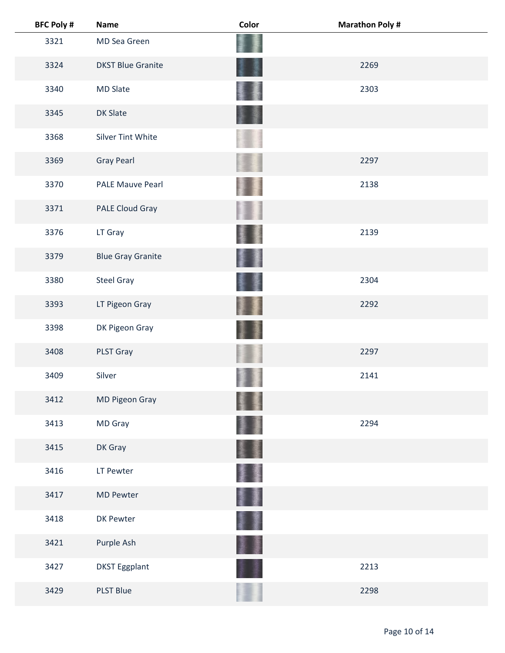| <b>BFC Poly #</b> | <b>Name</b>              | Color | <b>Marathon Poly #</b> |
|-------------------|--------------------------|-------|------------------------|
| 3321              | MD Sea Green             |       |                        |
| 3324              | <b>DKST Blue Granite</b> |       | 2269                   |
| 3340              | <b>MD Slate</b>          |       | 2303                   |
| 3345              | <b>DK Slate</b>          |       |                        |
| 3368              | <b>Silver Tint White</b> |       |                        |
| 3369              | <b>Gray Pearl</b>        |       | 2297                   |
| 3370              | <b>PALE Mauve Pearl</b>  |       | 2138                   |
| 3371              | PALE Cloud Gray          |       |                        |
| 3376              | LT Gray                  |       | 2139                   |
| 3379              | <b>Blue Gray Granite</b> |       |                        |
| 3380              | <b>Steel Gray</b>        |       | 2304                   |
| 3393              | LT Pigeon Gray           |       | 2292                   |
| 3398              | DK Pigeon Gray           |       |                        |
| 3408              | <b>PLST Gray</b>         |       | 2297                   |
| 3409              | Silver                   |       | 2141                   |
| 3412              | MD Pigeon Gray           |       |                        |
| 3413              | MD Gray                  |       | 2294                   |
| 3415              | DK Gray                  |       |                        |
| 3416              | LT Pewter                |       |                        |
| 3417              | <b>MD Pewter</b>         | I     |                        |
| 3418              | DK Pewter                |       |                        |
| 3421              | Purple Ash               |       |                        |
| 3427              | <b>DKST Eggplant</b>     |       | 2213                   |
| 3429              | <b>PLST Blue</b>         |       | 2298                   |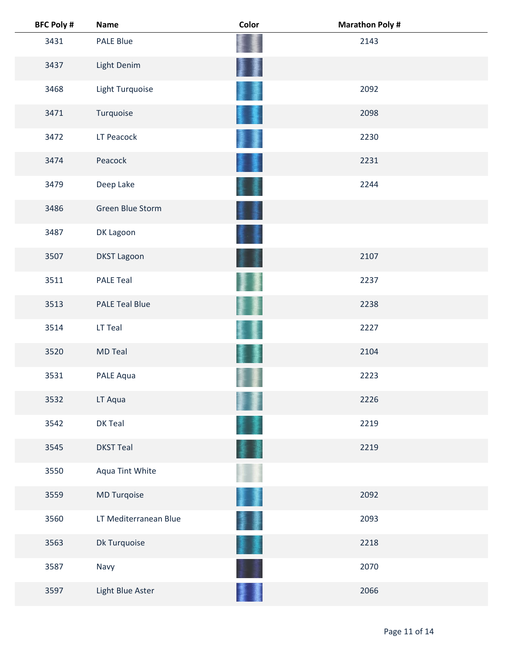| <b>BFC Poly #</b> | <b>Name</b>           | Color | <b>Marathon Poly#</b> |
|-------------------|-----------------------|-------|-----------------------|
| 3431              | PALE Blue             |       | 2143                  |
| 3437              | Light Denim           |       |                       |
| 3468              | Light Turquoise       |       | 2092                  |
| 3471              | Turquoise             |       | 2098                  |
| 3472              | LT Peacock            |       | 2230                  |
| 3474              | Peacock               |       | 2231                  |
| 3479              | Deep Lake             |       | 2244                  |
| 3486              | Green Blue Storm      |       |                       |
| 3487              | DK Lagoon             |       |                       |
| 3507              | <b>DKST Lagoon</b>    |       | 2107                  |
| 3511              | <b>PALE Teal</b>      |       | 2237                  |
| 3513              | <b>PALE Teal Blue</b> |       | 2238                  |
| 3514              | LT Teal               |       | 2227                  |
| 3520              | <b>MD Teal</b>        |       | 2104                  |
| 3531              | PALE Aqua             |       | 2223                  |
| 3532              | LT Aqua               |       | 2226                  |
| 3542              | DK Teal               |       | 2219                  |
| 3545              | <b>DKST Teal</b>      |       | 2219                  |
| 3550              | Aqua Tint White       |       |                       |
| 3559              | MD Turqoise           |       | 2092                  |
| 3560              | LT Mediterranean Blue |       | 2093                  |
| 3563              | Dk Turquoise          |       | 2218                  |
| 3587              | Navy                  |       | 2070                  |
| 3597              | Light Blue Aster      |       | 2066                  |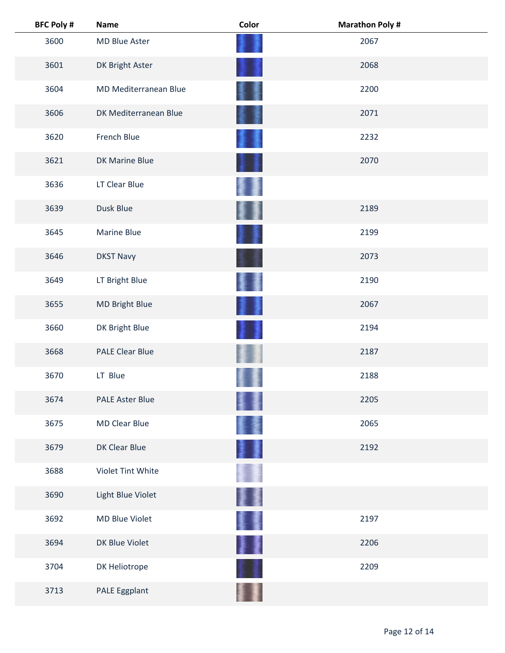| <b>BFC Poly #</b> | <b>Name</b>            | Color | <b>Marathon Poly#</b> |  |
|-------------------|------------------------|-------|-----------------------|--|
| 3600              | MD Blue Aster          |       | 2067                  |  |
| 3601              | DK Bright Aster        |       | 2068                  |  |
| 3604              | MD Mediterranean Blue  |       | 2200                  |  |
| 3606              | DK Mediterranean Blue  |       | 2071                  |  |
| 3620              | French Blue            |       | 2232                  |  |
| 3621              | DK Marine Blue         |       | 2070                  |  |
| 3636              | LT Clear Blue          |       |                       |  |
| 3639              | Dusk Blue              |       | 2189                  |  |
| 3645              | <b>Marine Blue</b>     |       | 2199                  |  |
| 3646              | <b>DKST Navy</b>       |       | 2073                  |  |
| 3649              | LT Bright Blue         |       | 2190                  |  |
| 3655              | <b>MD Bright Blue</b>  |       | 2067                  |  |
| 3660              | DK Bright Blue         |       | 2194                  |  |
| 3668              | <b>PALE Clear Blue</b> |       | 2187                  |  |
| 3670              | LT Blue                |       | 2188                  |  |
| 3674              | <b>PALE Aster Blue</b> |       | 2205                  |  |
| 3675              | <b>MD Clear Blue</b>   |       | 2065                  |  |
| 3679              | DK Clear Blue          |       | 2192                  |  |
| 3688              | Violet Tint White      |       |                       |  |
| 3690              | Light Blue Violet      |       |                       |  |
| 3692              | MD Blue Violet         | 矍     | 2197                  |  |
| 3694              | DK Blue Violet         | ł     | 2206                  |  |
| 3704              | DK Heliotrope          |       | 2209                  |  |
| 3713              | PALE Eggplant          |       |                       |  |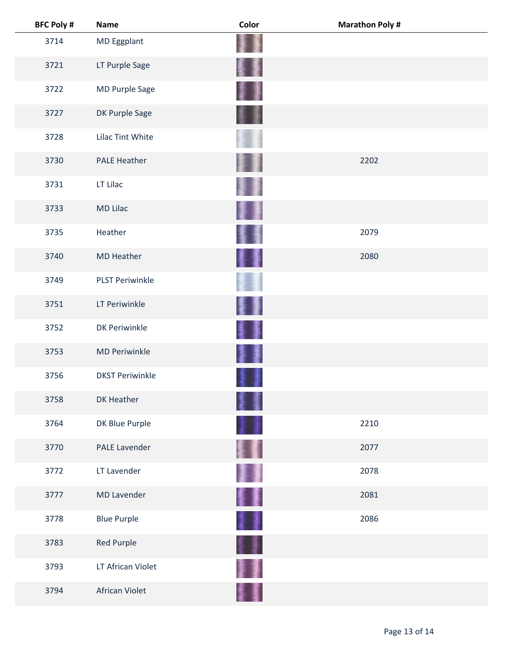| <b>BFC Poly #</b> | <b>Name</b>            | Color   | <b>Marathon Poly #</b> |
|-------------------|------------------------|---------|------------------------|
| 3714              | MD Eggplant            |         |                        |
| 3721              | LT Purple Sage         |         |                        |
| 3722              | MD Purple Sage         |         |                        |
| 3727              | DK Purple Sage         |         |                        |
| 3728              | Lilac Tint White       |         |                        |
| 3730              | <b>PALE Heather</b>    |         | 2202                   |
| 3731              | LT Lilac               |         |                        |
| 3733              | <b>MD Lilac</b>        |         |                        |
| 3735              | Heather                |         | 2079                   |
| 3740              | <b>MD Heather</b>      | ł<br>漫画 | 2080                   |
| 3749              | <b>PLST Periwinkle</b> |         |                        |
| 3751              | LT Periwinkle          |         |                        |
| 3752              | DK Periwinkle          |         |                        |
| 3753              | <b>MD Periwinkle</b>   | 1<br>廔  |                        |
| 3756              | <b>DKST Periwinkle</b> |         |                        |
| 3758              | DK Heather             |         |                        |
| 3764              | DK Blue Purple         |         | 2210                   |
| 3770              | <b>PALE Lavender</b>   |         | 2077                   |
| 3772              | LT Lavender            |         | 2078                   |
| 3777              | <b>MD Lavender</b>     | 髪重      | 2081                   |
| 3778              | <b>Blue Purple</b>     | 1       | 2086                   |
| 3783              | Red Purple             | H       |                        |
| 3793              | LT African Violet      |         |                        |
| 3794              | African Violet         |         |                        |